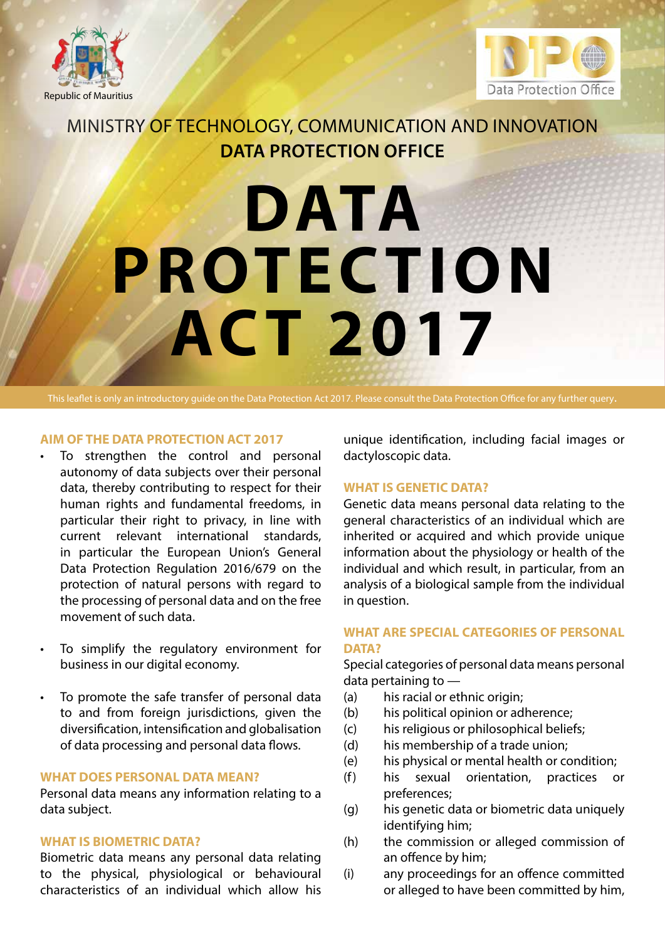



# Ministry of Technology, Communication and Innovation **Data Protection Office**

# **DATA PROTEC TION ACT 2017**

This leaflet is only an introductory guide on the Data Protection Act 2017. Please consult the Data Protection Office for any further query.

# **AIM OF THE DATA PROTECTION ACT 2017**

- To strengthen the control and personal autonomy of data subjects over their personal data, thereby contributing to respect for their human rights and fundamental freedoms, in particular their right to privacy, in line with current relevant international standards, in particular the European Union's General Data Protection Regulation 2016/679 on the protection of natural persons with regard to the processing of personal data and on the free movement of such data.
- To simplify the regulatory environment for business in our digital economy.
- • To promote the safe transfer of personal data to and from foreign jurisdictions, given the diversification, intensification and globalisation of data processing and personal data flows.

# **WHAT DOES PERSONAL DATA MEAN?**

Personal data means any information relating to a data subject.

# **WHAT IS BIOMETRIC DATA?**

Biometric data means any personal data relating to the physical, physiological or behavioural characteristics of an individual which allow his

unique identification, including facial images or dactyloscopic data.

#### **WHAT IS GENETIC DATA?**

Genetic data means personal data relating to the general characteristics of an individual which are inherited or acquired and which provide unique information about the physiology or health of the individual and which result, in particular, from an analysis of a biological sample from the individual in question.

# **WHAT ARE SPECIAL CATEGORIES OF PERSONAL DATA?**

Special categories of personal data means personal data pertaining to —

- (a) his racial or ethnic origin;
- (b) his political opinion or adherence;
- (c) his religious or philosophical beliefs;
- (d) his membership of a trade union;
- (e) his physical or mental health or condition;
- (f) his sexual orientation, practices or preferences;
- (g) his genetic data or biometric data uniquely identifying him;
- (h) the commission or alleged commission of an offence by him;
- (i) any proceedings for an offence committed or alleged to have been committed by him,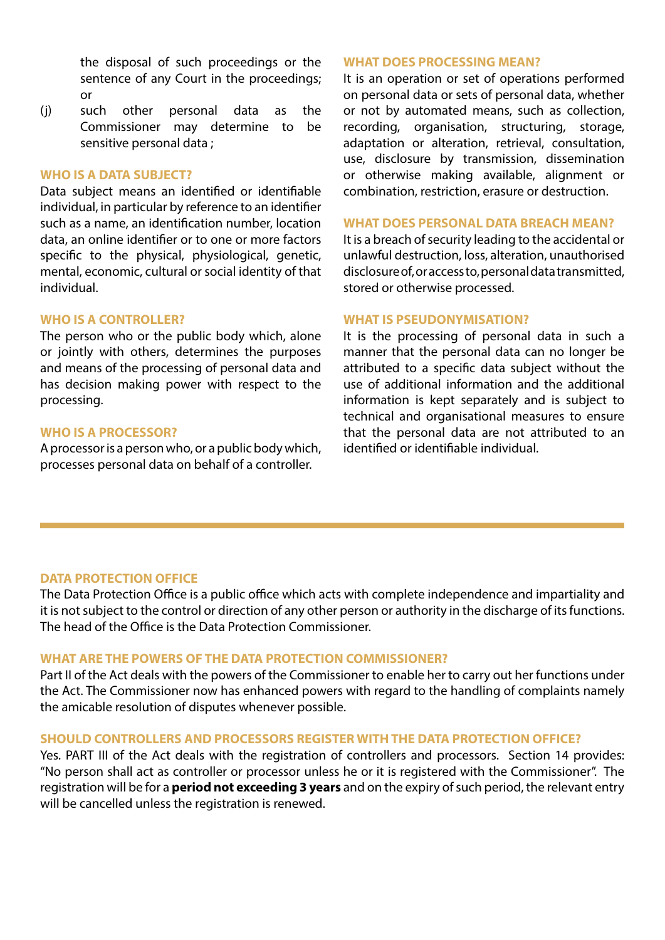the disposal of such proceedings or the sentence of any Court in the proceedings; or

(j) such other personal data as the Commissioner may determine to be sensitive personal data ;

#### **WHO IS A DATA SUBJECT?**

Data subject means an identified or identifiable individual, in particular by reference to an identifier such as a name, an identification number, location data, an online identifier or to one or more factors specific to the physical, physiological, genetic, mental, economic, cultural or social identity of that individual.

# **WHO IS A CONTROLLER?**

The person who or the public body which, alone or jointly with others, determines the purposes and means of the processing of personal data and has decision making power with respect to the processing.

#### **WHO IS A PROCESSOR?**

A processor is a person who, or a public body which, processes personal data on behalf of a controller.

#### **WHAT DOES PROCESSING MEAN?**

It is an operation or set of operations performed on personal data or sets of personal data, whether or not by automated means, such as collection, recording, organisation, structuring, storage, adaptation or alteration, retrieval, consultation, use, disclosure by transmission, dissemination or otherwise making available, alignment or combination, restriction, erasure or destruction.

#### **WHAT DOES PERSONAL DATA BREACH MEAN?**

It is a breach of security leading to the accidental or unlawful destruction, loss, alteration, unauthorised disclosure of, or access to, personal data transmitted, stored or otherwise processed.

#### **WHAT IS PSEUDONYMISATION?**

It is the processing of personal data in such a manner that the personal data can no longer be attributed to a specific data subject without the use of additional information and the additional information is kept separately and is subject to technical and organisational measures to ensure that the personal data are not attributed to an identified or identifiable individual.

#### **DATA PROTECTION OFFICE**

The Data Protection Office is a public office which acts with complete independence and impartiality and it is not subject to the control or direction of any other person or authority in the discharge of its functions. The head of the Office is the Data Protection Commissioner.

#### **WHAT ARE THE POWERS OF THE DATA PROTECTION COMMISSIONER?**

Part II of the Act deals with the powers of the Commissioner to enable her to carry out her functions under the Act. The Commissioner now has enhanced powers with regard to the handling of complaints namely the amicable resolution of disputes whenever possible.

#### **SHOULD CONTROLLERS AND PROCESSORS REGISTER WITH THE DATA PROTECTION OFFICE?**

Yes. PART III of the Act deals with the registration of controllers and processors. Section 14 provides: "No person shall act as controller or processor unless he or it is registered with the Commissioner". The registration will be for a **period not exceeding 3 years** and on the expiry of such period, the relevant entry will be cancelled unless the registration is renewed.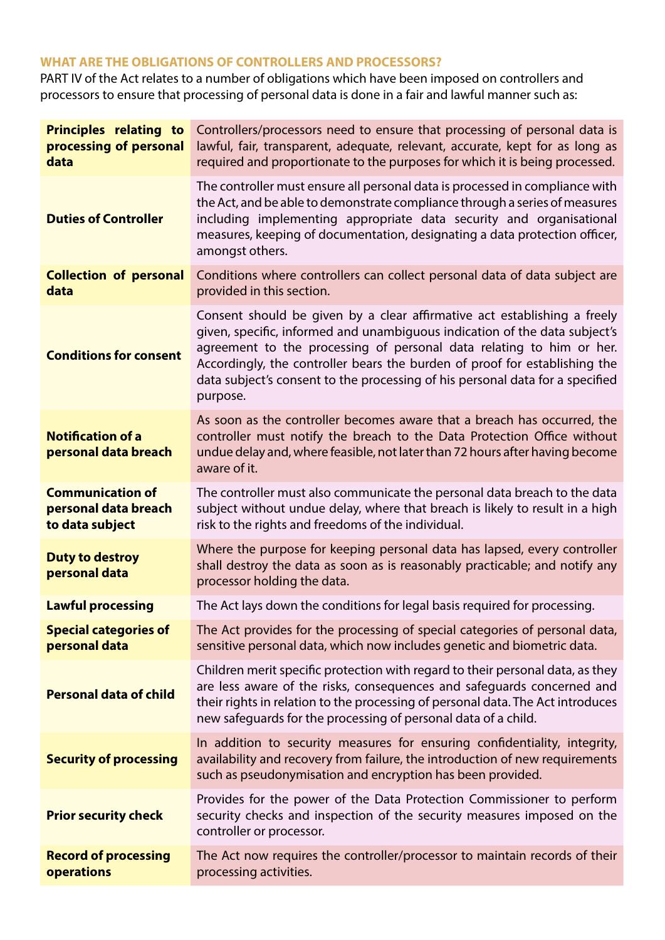# **WHAT ARE THE OBLIGATIONS OF CONTROLLERS AND PROCESSORS?**

PART IV of the Act relates to a number of obligations which have been imposed on controllers and processors to ensure that processing of personal data is done in a fair and lawful manner such as:

| <b>Principles relating to</b><br>processing of personal<br>data    | Controllers/processors need to ensure that processing of personal data is<br>lawful, fair, transparent, adequate, relevant, accurate, kept for as long as<br>required and proportionate to the purposes for which it is being processed.                                                                                                                                                                  |  |  |
|--------------------------------------------------------------------|-----------------------------------------------------------------------------------------------------------------------------------------------------------------------------------------------------------------------------------------------------------------------------------------------------------------------------------------------------------------------------------------------------------|--|--|
| <b>Duties of Controller</b>                                        | The controller must ensure all personal data is processed in compliance with<br>the Act, and be able to demonstrate compliance through a series of measures<br>including implementing appropriate data security and organisational<br>measures, keeping of documentation, designating a data protection officer,<br>amongst others.                                                                       |  |  |
| <b>Collection of personal</b><br>data                              | Conditions where controllers can collect personal data of data subject are<br>provided in this section.                                                                                                                                                                                                                                                                                                   |  |  |
| <b>Conditions for consent</b>                                      | Consent should be given by a clear affirmative act establishing a freely<br>given, specific, informed and unambiguous indication of the data subject's<br>agreement to the processing of personal data relating to him or her.<br>Accordingly, the controller bears the burden of proof for establishing the<br>data subject's consent to the processing of his personal data for a specified<br>purpose. |  |  |
| <b>Notification of a</b><br>personal data breach                   | As soon as the controller becomes aware that a breach has occurred, the<br>controller must notify the breach to the Data Protection Office without<br>undue delay and, where feasible, not later than 72 hours after having become<br>aware of it.                                                                                                                                                        |  |  |
| <b>Communication of</b><br>personal data breach<br>to data subject | The controller must also communicate the personal data breach to the data<br>subject without undue delay, where that breach is likely to result in a high<br>risk to the rights and freedoms of the individual.                                                                                                                                                                                           |  |  |
| <b>Duty to destroy</b><br>personal data                            | Where the purpose for keeping personal data has lapsed, every controller<br>shall destroy the data as soon as is reasonably practicable; and notify any<br>processor holding the data.                                                                                                                                                                                                                    |  |  |
| <b>Lawful processing</b>                                           | The Act lays down the conditions for legal basis required for processing.                                                                                                                                                                                                                                                                                                                                 |  |  |
| <b>Special categories of</b><br>personal data                      | The Act provides for the processing of special categories of personal data,<br>sensitive personal data, which now includes genetic and biometric data.                                                                                                                                                                                                                                                    |  |  |
| <b>Personal data of child</b>                                      | Children merit specific protection with regard to their personal data, as they<br>are less aware of the risks, consequences and safeguards concerned and<br>their rights in relation to the processing of personal data. The Act introduces<br>new safeguards for the processing of personal data of a child.                                                                                             |  |  |
| <b>Security of processing</b>                                      | In addition to security measures for ensuring confidentiality, integrity,<br>availability and recovery from failure, the introduction of new requirements<br>such as pseudonymisation and encryption has been provided.                                                                                                                                                                                   |  |  |
| <b>Prior security check</b>                                        | Provides for the power of the Data Protection Commissioner to perform<br>security checks and inspection of the security measures imposed on the<br>controller or processor.                                                                                                                                                                                                                               |  |  |
| <b>Record of processing</b><br>operations                          | The Act now requires the controller/processor to maintain records of their<br>processing activities.                                                                                                                                                                                                                                                                                                      |  |  |